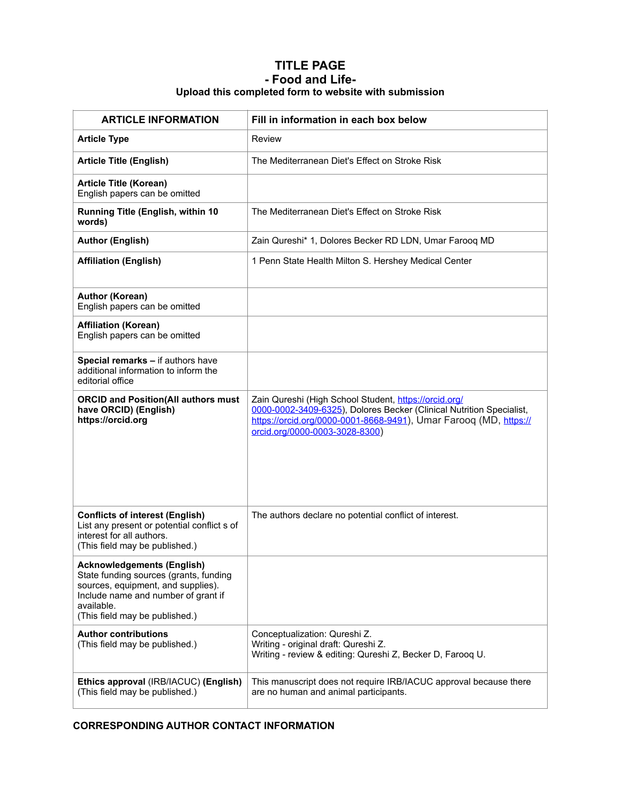# **TITLE PAGE - Food and Life-Upload this completed form to website with submission**

| <b>ARTICLE INFORMATION</b>                                                                                                                                                                               | Fill in information in each box below                                                                                                                                                                                                |  |  |  |  |
|----------------------------------------------------------------------------------------------------------------------------------------------------------------------------------------------------------|--------------------------------------------------------------------------------------------------------------------------------------------------------------------------------------------------------------------------------------|--|--|--|--|
| <b>Article Type</b>                                                                                                                                                                                      | Review                                                                                                                                                                                                                               |  |  |  |  |
| <b>Article Title (English)</b>                                                                                                                                                                           | The Mediterranean Diet's Effect on Stroke Risk                                                                                                                                                                                       |  |  |  |  |
| <b>Article Title (Korean)</b><br>English papers can be omitted                                                                                                                                           |                                                                                                                                                                                                                                      |  |  |  |  |
| Running Title (English, within 10<br>words)                                                                                                                                                              | The Mediterranean Diet's Effect on Stroke Risk                                                                                                                                                                                       |  |  |  |  |
| <b>Author (English)</b>                                                                                                                                                                                  | Zain Qureshi* 1, Dolores Becker RD LDN, Umar Farooq MD                                                                                                                                                                               |  |  |  |  |
| <b>Affiliation (English)</b>                                                                                                                                                                             | 1 Penn State Health Milton S. Hershey Medical Center                                                                                                                                                                                 |  |  |  |  |
| <b>Author (Korean)</b><br>English papers can be omitted                                                                                                                                                  |                                                                                                                                                                                                                                      |  |  |  |  |
| <b>Affiliation (Korean)</b><br>English papers can be omitted                                                                                                                                             |                                                                                                                                                                                                                                      |  |  |  |  |
| Special remarks - if authors have<br>additional information to inform the<br>editorial office                                                                                                            |                                                                                                                                                                                                                                      |  |  |  |  |
| <b>ORCID and Position(All authors must</b><br>have ORCID) (English)<br>https://orcid.org                                                                                                                 | Zain Qureshi (High School Student, https://orcid.org/<br>0000-0002-3409-6325), Dolores Becker (Clinical Nutrition Specialist,<br>https://orcid.org/0000-0001-8668-9491), Umar Farooq (MD, https://<br>orcid.org/0000-0003-3028-8300) |  |  |  |  |
| <b>Conflicts of interest (English)</b><br>List any present or potential conflict s of<br>interest for all authors.<br>(This field may be published.)                                                     | The authors declare no potential conflict of interest.                                                                                                                                                                               |  |  |  |  |
| <b>Acknowledgements (English)</b><br>State funding sources (grants, funding<br>sources, equipment, and supplies).<br>Include name and number of grant if<br>available.<br>(This field may be published.) |                                                                                                                                                                                                                                      |  |  |  |  |
| <b>Author contributions</b><br>(This field may be published.)                                                                                                                                            | Conceptualization: Qureshi Z.<br>Writing - original draft: Qureshi Z.<br>Writing - review & editing: Qureshi Z, Becker D, Farooq U.                                                                                                  |  |  |  |  |
| Ethics approval (IRB/IACUC) (English)<br>(This field may be published.)                                                                                                                                  | This manuscript does not require IRB/IACUC approval because there<br>are no human and animal participants.                                                                                                                           |  |  |  |  |

# **CORRESPONDING AUTHOR CONTACT INFORMATION**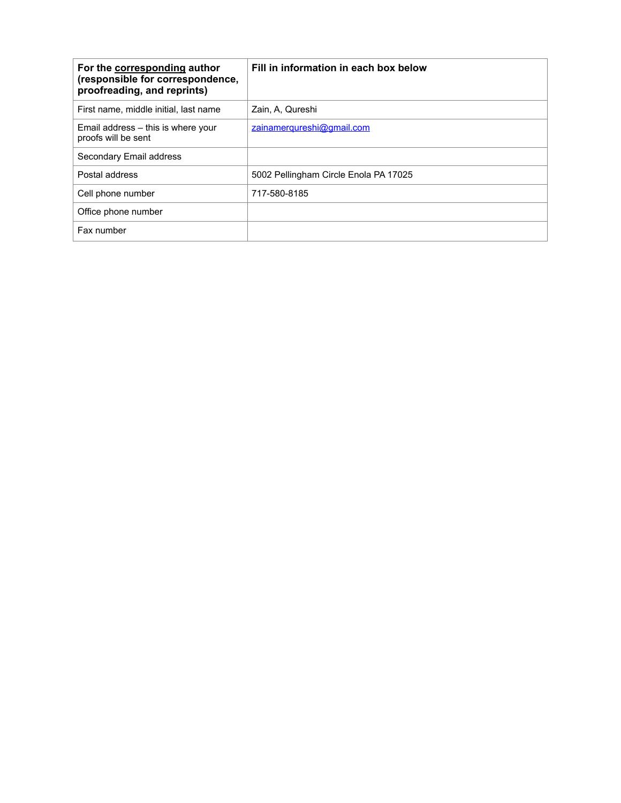| For the corresponding author<br>(responsible for correspondence,<br>proofreading, and reprints) | Fill in information in each box below |
|-------------------------------------------------------------------------------------------------|---------------------------------------|
| First name, middle initial, last name                                                           | Zain, A. Qureshi                      |
| Email address – this is where your<br>proofs will be sent                                       | zainamergureshi@gmail.com             |
| Secondary Email address                                                                         |                                       |
| Postal address                                                                                  | 5002 Pellingham Circle Enola PA 17025 |
| Cell phone number                                                                               | 717-580-8185                          |
| Office phone number                                                                             |                                       |
| Fax number                                                                                      |                                       |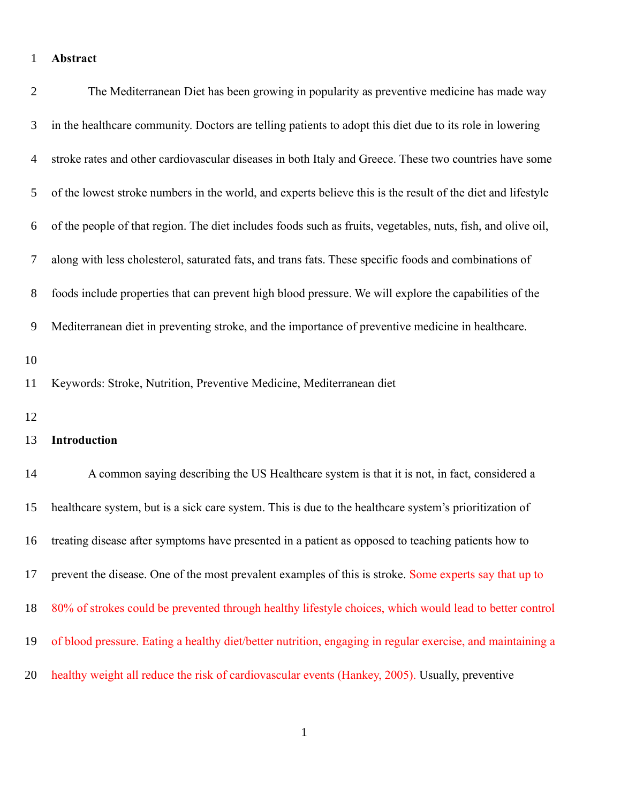## **Abstract** 1

| $\overline{2}$ | The Mediterranean Diet has been growing in popularity as preventive medicine has made way                    |
|----------------|--------------------------------------------------------------------------------------------------------------|
| 3              | in the healthcare community. Doctors are telling patients to adopt this diet due to its role in lowering     |
| 4              | stroke rates and other cardiovascular diseases in both Italy and Greece. These two countries have some       |
| 5              | of the lowest stroke numbers in the world, and experts believe this is the result of the diet and lifestyle  |
| 6              | of the people of that region. The diet includes foods such as fruits, vegetables, nuts, fish, and olive oil, |
| 7              | along with less cholesterol, saturated fats, and trans fats. These specific foods and combinations of        |
| 8              | foods include properties that can prevent high blood pressure. We will explore the capabilities of the       |
| 9              | Mediterranean diet in preventing stroke, and the importance of preventive medicine in healthcare.            |
| 10<br>11       | Keywords: Stroke, Nutrition, Preventive Medicine, Mediterranean diet                                         |
| 12<br>13       | Introduction                                                                                                 |
| 14             | A common saying describing the US Healthcare system is that it is not, in fact, considered a                 |
| 15             | healthcare system, but is a sick care system. This is due to the healthcare system's prioritization of       |
|                | 16 treating disease after symptoms have presented in a patient as opposed to teaching patients how to        |
| 17             | prevent the disease. One of the most prevalent examples of this is stroke. Some experts say that up to       |
| 18             | 80% of strokes could be prevented through healthy lifestyle choices, which would lead to better control      |
| 19             | of blood pressure. Eating a healthy diet/better nutrition, engaging in regular exercise, and maintaining a   |
| 20             | healthy weight all reduce the risk of cardiovascular events (Hankey, 2005). Usually, preventive              |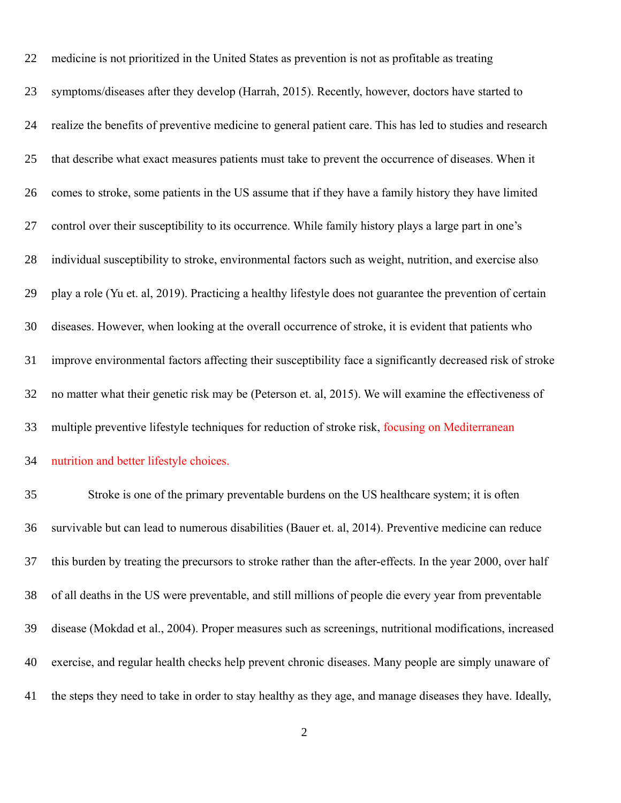| 22 | medicine is not prioritized in the United States as prevention is not as profitable as treating             |
|----|-------------------------------------------------------------------------------------------------------------|
| 23 | symptoms/diseases after they develop (Harrah, 2015). Recently, however, doctors have started to             |
| 24 | realize the benefits of preventive medicine to general patient care. This has led to studies and research   |
| 25 | that describe what exact measures patients must take to prevent the occurrence of diseases. When it         |
| 26 | comes to stroke, some patients in the US assume that if they have a family history they have limited        |
| 27 | control over their susceptibility to its occurrence. While family history plays a large part in one's       |
| 28 | individual susceptibility to stroke, environmental factors such as weight, nutrition, and exercise also     |
| 29 | play a role (Yu et. al, 2019). Practicing a healthy lifestyle does not guarantee the prevention of certain  |
| 30 | diseases. However, when looking at the overall occurrence of stroke, it is evident that patients who        |
| 31 | improve environmental factors affecting their susceptibility face a significantly decreased risk of stroke  |
| 32 | no matter what their genetic risk may be (Peterson et. al, 2015). We will examine the effectiveness of      |
| 33 | multiple preventive lifestyle techniques for reduction of stroke risk, focusing on Mediterranean            |
| 34 | nutrition and better lifestyle choices.                                                                     |
| 35 | Stroke is one of the primary preventable burdens on the US healthcare system; it is often                   |
| 36 | survivable but can lead to numerous disabilities (Bauer et. al, 2014). Preventive medicine can reduce       |
| 37 | this burden by treating the precursors to stroke rather than the after-effects. In the year 2000, over half |
| 38 | of all deaths in the US were preventable, and still millions of people die every year from preventable      |
| 39 | disease (Mokdad et al., 2004). Proper measures such as screenings, nutritional modifications, increased     |
| 40 | exercise, and regular health checks help prevent chronic diseases. Many people are simply unaware of        |
| 41 | the steps they need to take in order to stay healthy as they age, and manage diseases they have. Ideally,   |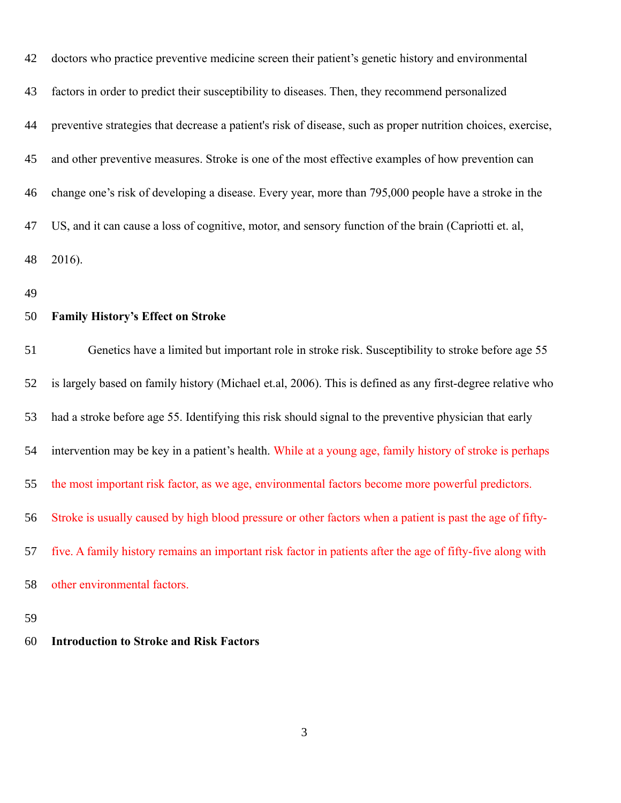| 42 | doctors who practice preventive medicine screen their patient's genetic history and environmental            |
|----|--------------------------------------------------------------------------------------------------------------|
| 43 | factors in order to predict their susceptibility to diseases. Then, they recommend personalized              |
| 44 | preventive strategies that decrease a patient's risk of disease, such as proper nutrition choices, exercise, |
| 45 | and other preventive measures. Stroke is one of the most effective examples of how prevention can            |
| 46 | change one's risk of developing a disease. Every year, more than 795,000 people have a stroke in the         |
| 47 | US, and it can cause a loss of cognitive, motor, and sensory function of the brain (Capriotti et. al,        |
| 48 | 2016).                                                                                                       |
| 49 |                                                                                                              |
| 50 | <b>Family History's Effect on Stroke</b>                                                                     |
| 51 | Genetics have a limited but important role in stroke risk. Susceptibility to stroke before age 55            |
| 52 | is largely based on family history (Michael et.al, 2006). This is defined as any first-degree relative who   |
| 53 | had a stroke before age 55. Identifying this risk should signal to the preventive physician that early       |
| 54 | intervention may be key in a patient's health. While at a young age, family history of stroke is perhaps     |
| 55 | the most important risk factor, as we age, environmental factors become more powerful predictors.            |
| 56 | Stroke is usually caused by high blood pressure or other factors when a patient is past the age of fifty-    |
| 57 | five. A family history remains an important risk factor in patients after the age of fifty-five along with   |
| 58 | other environmental factors.                                                                                 |
| 59 |                                                                                                              |

## **Introduction to Stroke and Risk Factors** 60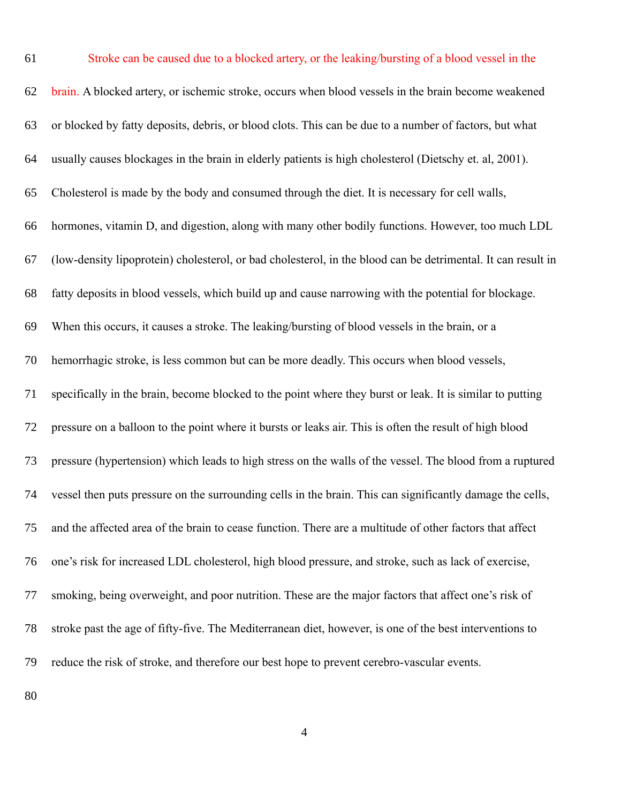| 61 | Stroke can be caused due to a blocked artery, or the leaking/bursting of a blood vessel in the               |
|----|--------------------------------------------------------------------------------------------------------------|
| 62 | brain. A blocked artery, or ischemic stroke, occurs when blood vessels in the brain become weakened          |
| 63 | or blocked by fatty deposits, debris, or blood clots. This can be due to a number of factors, but what       |
| 64 | usually causes blockages in the brain in elderly patients is high cholesterol (Dietschy et. al, 2001).       |
| 65 | Cholesterol is made by the body and consumed through the diet. It is necessary for cell walls,               |
| 66 | hormones, vitamin D, and digestion, along with many other bodily functions. However, too much LDL            |
| 67 | (low-density lipoprotein) cholesterol, or bad cholesterol, in the blood can be detrimental. It can result in |
| 68 | fatty deposits in blood vessels, which build up and cause narrowing with the potential for blockage.         |
| 69 | When this occurs, it causes a stroke. The leaking/bursting of blood vessels in the brain, or a               |
| 70 | hemorrhagic stroke, is less common but can be more deadly. This occurs when blood vessels,                   |
| 71 | specifically in the brain, become blocked to the point where they burst or leak. It is similar to putting    |
| 72 | pressure on a balloon to the point where it bursts or leaks air. This is often the result of high blood      |
| 73 | pressure (hypertension) which leads to high stress on the walls of the vessel. The blood from a ruptured     |
| 74 | vessel then puts pressure on the surrounding cells in the brain. This can significantly damage the cells,    |
| 75 | and the affected area of the brain to cease function. There are a multitude of other factors that affect     |
| 76 | one's risk for increased LDL cholesterol, high blood pressure, and stroke, such as lack of exercise,         |
| 77 | smoking, being overweight, and poor nutrition. These are the major factors that affect one's risk of         |
| 78 | stroke past the age of fifty-five. The Mediterranean diet, however, is one of the best interventions to      |
| 79 | reduce the risk of stroke, and therefore our best hope to prevent cerebro-vascular events.                   |
|    |                                                                                                              |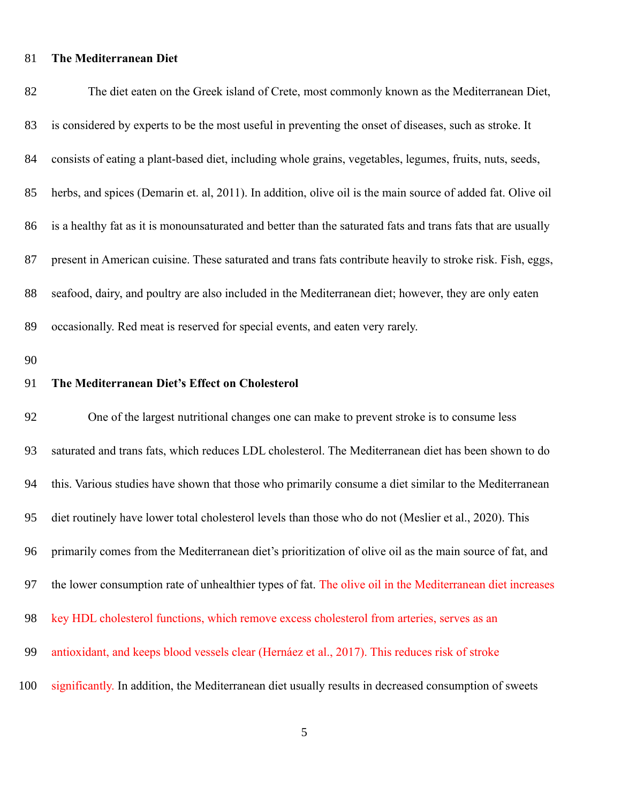## **The Mediterranean Diet** 81

| 82 | The diet eaten on the Greek island of Crete, most commonly known as the Mediterranean Diet,                  |
|----|--------------------------------------------------------------------------------------------------------------|
| 83 | is considered by experts to be the most useful in preventing the onset of diseases, such as stroke. It       |
| 84 | consists of eating a plant-based diet, including whole grains, vegetables, legumes, fruits, nuts, seeds,     |
| 85 | herbs, and spices (Demarin et. al, 2011). In addition, olive oil is the main source of added fat. Olive oil  |
| 86 | is a healthy fat as it is monounsaturated and better than the saturated fats and trans fats that are usually |
| 87 | present in American cuisine. These saturated and trans fats contribute heavily to stroke risk. Fish, eggs,   |
| 88 | seafood, dairy, and poultry are also included in the Mediterranean diet; however, they are only eaten        |
| 89 | occasionally. Red meat is reserved for special events, and eaten very rarely.                                |
| 90 |                                                                                                              |
| 91 | The Mediterranean Diet's Effect on Cholesterol                                                               |
| 92 | One of the largest nutritional changes one can make to prevent stroke is to consume less                     |
| 93 | saturated and trans fats, which reduces LDL cholesterol. The Mediterranean diet has been shown to do         |
| 94 | this. Various studies have shown that those who primarily consume a diet similar to the Mediterranean        |
| 95 | diet routinely have lower total cholesterol levels than those who do not (Meslier et al., 2020). This        |
| 96 | primarily comes from the Mediterranean diet's prioritization of olive oil as the main source of fat, and     |
| 97 | the lower consumption rate of unhealthier types of fat. The olive oil in the Mediterranean diet increases    |
| 98 |                                                                                                              |
|    | key HDL cholesterol functions, which remove excess cholesterol from arteries, serves as an                   |
| 99 | antioxidant, and keeps blood vessels clear (Hernáez et al., 2017). This reduces risk of stroke               |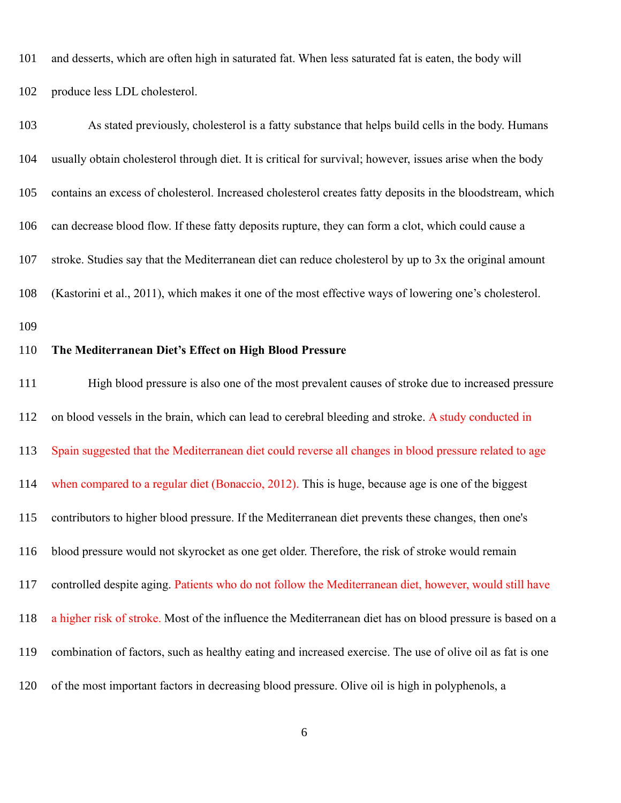and desserts, which are often high in saturated fat. When less saturated fat is eaten, the body will produce less LDL cholesterol. 101 102

As stated previously, cholesterol is a fatty substance that helps build cells in the body. Humans usually obtain cholesterol through diet. It is critical for survival; however, issues arise when the body contains an excess of cholesterol. Increased cholesterol creates fatty deposits in the bloodstream, which can decrease blood flow. If these fatty deposits rupture, they can form a clot, which could cause a stroke. Studies say that the Mediterranean diet can reduce cholesterol by up to 3x the original amount (Kastorini et al., 2011), which makes it one of the most effective ways of lowering one's cholesterol. **The Mediterranean Diet's Effect on High Blood Pressure** High blood pressure is also one of the most prevalent causes of stroke due to increased pressure on blood vessels in the brain, which can lead to cerebral bleeding and stroke. A study conducted in Spain suggested that the Mediterranean diet could reverse all changes in blood pressure related to age when compared to a regular diet (Bonaccio, 2012). This is huge, because age is one of the biggest contributors to higher blood pressure. If the Mediterranean diet prevents these changes, then one's blood pressure would not skyrocket as one get older. Therefore, the risk of stroke would remain controlled despite aging. Patients who do not follow the Mediterranean diet, however, would still have a higher risk of stroke. Most of the influence the Mediterranean diet has on blood pressure is based on a combination of factors, such as healthy eating and increased exercise. The use of olive oil as fat is one 103 104 105 106 107 108 109 110 111 112 113 114 115 116 117 118 119

of the most important factors in decreasing blood pressure. Olive oil is high in polyphenols, a 120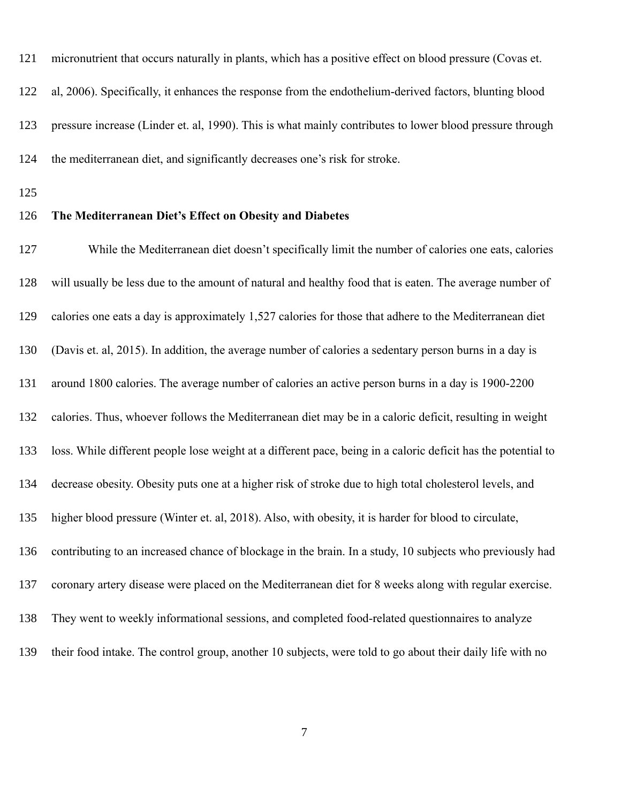micronutrient that occurs naturally in plants, which has a positive effect on blood pressure (Covas et. al, 2006). Specifically, it enhances the response from the endothelium-derived factors, blunting blood pressure increase (Linder et. al, 1990). This is what mainly contributes to lower blood pressure through the mediterranean diet, and significantly decreases one's risk for stroke. 121 122 123 124

125

### **The Mediterranean Diet's Effect on Obesity and Diabetes** 126

While the Mediterranean diet doesn't specifically limit the number of calories one eats, calories will usually be less due to the amount of natural and healthy food that is eaten. The average number of calories one eats a day is approximately 1,527 calories for those that adhere to the Mediterranean diet (Davis et. al, 2015). In addition, the average number of calories a sedentary person burns in a day is around 1800 calories. The average number of calories an active person burns in a day is 1900-2200 calories. Thus, whoever follows the Mediterranean diet may be in a caloric deficit, resulting in weight loss. While different people lose weight at a different pace, being in a caloric deficit has the potential to decrease obesity. Obesity puts one at a higher risk of stroke due to high total cholesterol levels, and higher blood pressure (Winter et. al, 2018). Also, with obesity, it is harder for blood to circulate, contributing to an increased chance of blockage in the brain. In a study, 10 subjects who previously had coronary artery disease were placed on the Mediterranean diet for 8 weeks along with regular exercise. They went to weekly informational sessions, and completed food-related questionnaires to analyze their food intake. The control group, another 10 subjects, were told to go about their daily life with no 127 128 129 130 131 132 133 134 135 136 137 138 139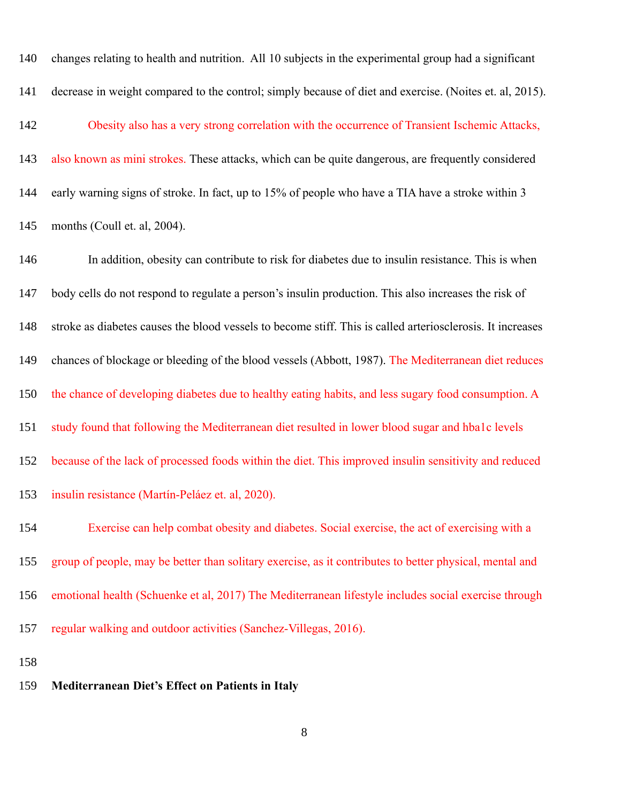| 140 | changes relating to health and nutrition. All 10 subjects in the experimental group had a significant      |
|-----|------------------------------------------------------------------------------------------------------------|
| 141 | decrease in weight compared to the control; simply because of diet and exercise. (Noites et. al, 2015).    |
| 142 | Obesity also has a very strong correlation with the occurrence of Transient Ischemic Attacks,              |
| 143 | also known as mini strokes. These attacks, which can be quite dangerous, are frequently considered         |
| 144 | early warning signs of stroke. In fact, up to 15% of people who have a TIA have a stroke within 3          |
| 145 | months (Coull et. al, 2004).                                                                               |
| 146 | In addition, obesity can contribute to risk for diabetes due to insulin resistance. This is when           |
| 147 | body cells do not respond to regulate a person's insulin production. This also increases the risk of       |
| 148 | stroke as diabetes causes the blood vessels to become stiff. This is called arteriosclerosis. It increases |
| 149 | chances of blockage or bleeding of the blood vessels (Abbott, 1987). The Mediterranean diet reduces        |
| 150 | the chance of developing diabetes due to healthy eating habits, and less sugary food consumption. A        |
| 151 | study found that following the Mediterranean diet resulted in lower blood sugar and hba1c levels           |
| 152 | because of the lack of processed foods within the diet. This improved insulin sensitivity and reduced      |
| 153 | insulin resistance (Martín-Peláez et. al, 2020).                                                           |
| 154 | Exercise can help combat obesity and diabetes. Social exercise, the act of exercising with a               |
| 155 | group of people, may be better than solitary exercise, as it contributes to better physical, mental and    |
| 156 | emotional health (Schuenke et al, 2017) The Mediterranean lifestyle includes social exercise through       |
| 157 | regular walking and outdoor activities (Sanchez-Villegas, 2016).                                           |
| 158 |                                                                                                            |
| 159 | <b>Mediterranean Diet's Effect on Patients in Italy</b>                                                    |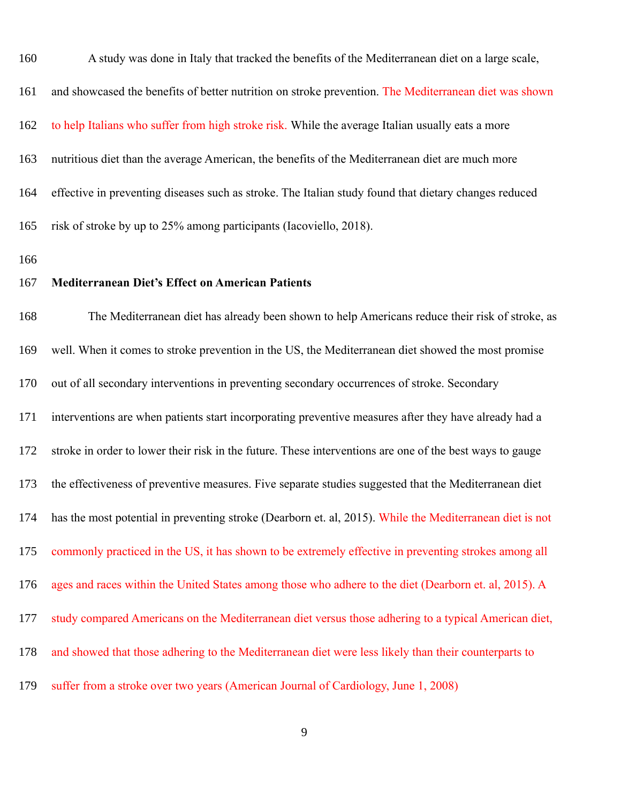| 160 | A study was done in Italy that tracked the benefits of the Mediterranean diet on a large scale,          |
|-----|----------------------------------------------------------------------------------------------------------|
| 161 | and showcased the benefits of better nutrition on stroke prevention. The Mediterranean diet was shown    |
| 162 | to help Italians who suffer from high stroke risk. While the average Italian usually eats a more         |
| 163 | nutritious diet than the average American, the benefits of the Mediterranean diet are much more          |
| 164 | effective in preventing diseases such as stroke. The Italian study found that dietary changes reduced    |
| 165 | risk of stroke by up to 25% among participants (Iacoviello, 2018).                                       |
| 166 |                                                                                                          |
| 167 | <b>Mediterranean Diet's Effect on American Patients</b>                                                  |
| 168 | The Mediterranean diet has already been shown to help Americans reduce their risk of stroke, as          |
| 169 | well. When it comes to stroke prevention in the US, the Mediterranean diet showed the most promise       |
| 170 | out of all secondary interventions in preventing secondary occurrences of stroke. Secondary              |
| 171 | interventions are when patients start incorporating preventive measures after they have already had a    |
| 172 | stroke in order to lower their risk in the future. These interventions are one of the best ways to gauge |
| 173 | the effectiveness of preventive measures. Five separate studies suggested that the Mediterranean diet    |
| 174 | has the most potential in preventing stroke (Dearborn et. al, 2015). While the Mediterranean diet is not |
| 175 | commonly practiced in the US, it has shown to be extremely effective in preventing strokes among all     |
| 176 | ages and races within the United States among those who adhere to the diet (Dearborn et. al, 2015). A    |
| 177 | study compared Americans on the Mediterranean diet versus those adhering to a typical American diet,     |
| 178 | and showed that those adhering to the Mediterranean diet were less likely than their counterparts to     |
| 179 | suffer from a stroke over two years (American Journal of Cardiology, June 1, 2008)                       |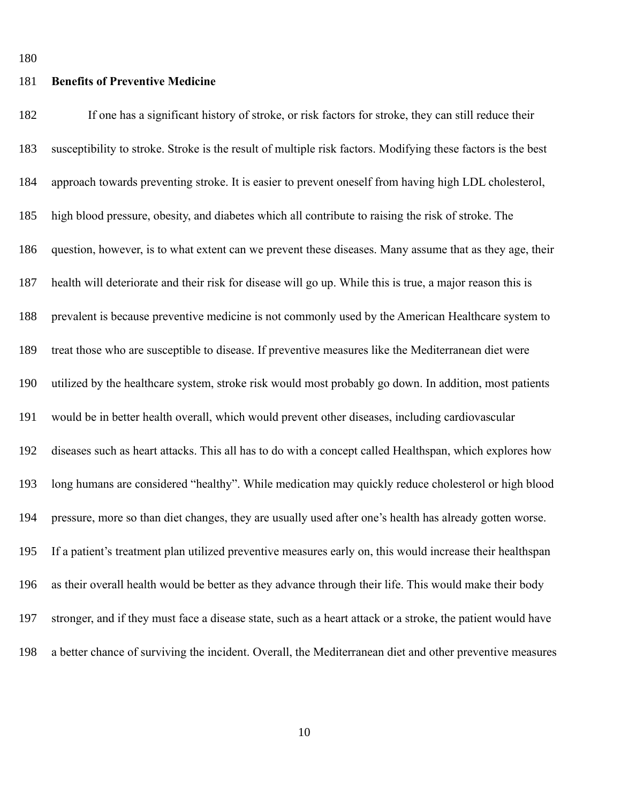### **Benefits of Preventive Medicine** 181

If one has a significant history of stroke, or risk factors for stroke, they can still reduce their susceptibility to stroke. Stroke is the result of multiple risk factors. Modifying these factors is the best approach towards preventing stroke. It is easier to prevent oneself from having high LDL cholesterol, high blood pressure, obesity, and diabetes which all contribute to raising the risk of stroke. The question, however, is to what extent can we prevent these diseases. Many assume that as they age, their health will deteriorate and their risk for disease will go up. While this is true, a major reason this is prevalent is because preventive medicine is not commonly used by the American Healthcare system to treat those who are susceptible to disease. If preventive measures like the Mediterranean diet were utilized by the healthcare system, stroke risk would most probably go down. In addition, most patients would be in better health overall, which would prevent other diseases, including cardiovascular diseases such as heart attacks. This all has to do with a concept called Healthspan, which explores how long humans are considered "healthy". While medication may quickly reduce cholesterol or high blood pressure, more so than diet changes, they are usually used after one's health has already gotten worse. If a patient's treatment plan utilized preventive measures early on, this would increase their healthspan as their overall health would be better as they advance through their life. This would make their body stronger, and if they must face a disease state, such as a heart attack or a stroke, the patient would have a better chance of surviving the incident. Overall, the Mediterranean diet and other preventive measures 182 183 184 185 186 187 188 189 190 191 192 193 194 195 196 197 198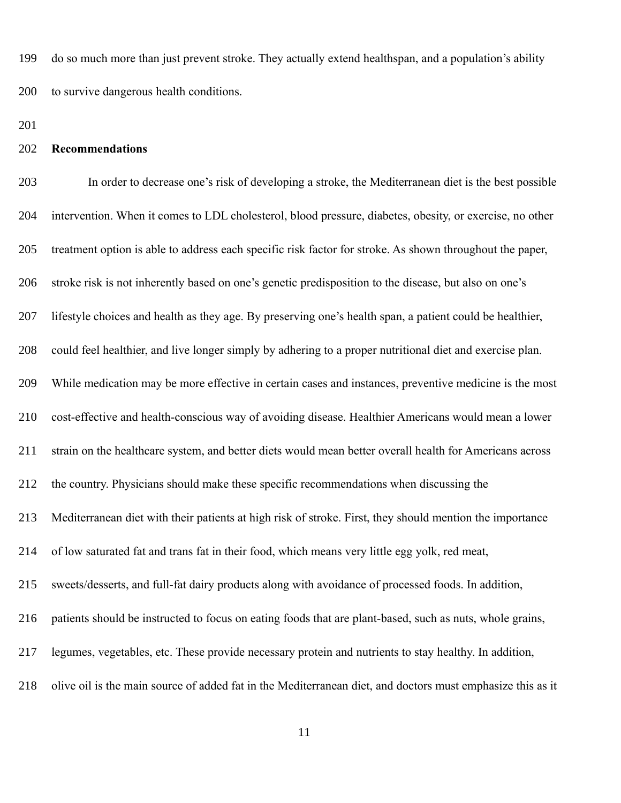do so much more than just prevent stroke. They actually extend healthspan, and a population's ability to survive dangerous health conditions. 199 200

201

### **Recommendations** 202

In order to decrease one's risk of developing a stroke, the Mediterranean diet is the best possible intervention. When it comes to LDL cholesterol, blood pressure, diabetes, obesity, or exercise, no other treatment option is able to address each specific risk factor for stroke. As shown throughout the paper, stroke risk is not inherently based on one's genetic predisposition to the disease, but also on one's lifestyle choices and health as they age. By preserving one's health span, a patient could be healthier, could feel healthier, and live longer simply by adhering to a proper nutritional diet and exercise plan. While medication may be more effective in certain cases and instances, preventive medicine is the most cost-effective and health-conscious way of avoiding disease. Healthier Americans would mean a lower strain on the healthcare system, and better diets would mean better overall health for Americans across the country. Physicians should make these specific recommendations when discussing the Mediterranean diet with their patients at high risk of stroke. First, they should mention the importance of low saturated fat and trans fat in their food, which means very little egg yolk, red meat, sweets/desserts, and full-fat dairy products along with avoidance of processed foods. In addition, patients should be instructed to focus on eating foods that are plant-based, such as nuts, whole grains, legumes, vegetables, etc. These provide necessary protein and nutrients to stay healthy. In addition, olive oil is the main source of added fat in the Mediterranean diet, and doctors must emphasize this as it 203 204 205 206 207 208 209 210 211 212 213 214 215 216 217 218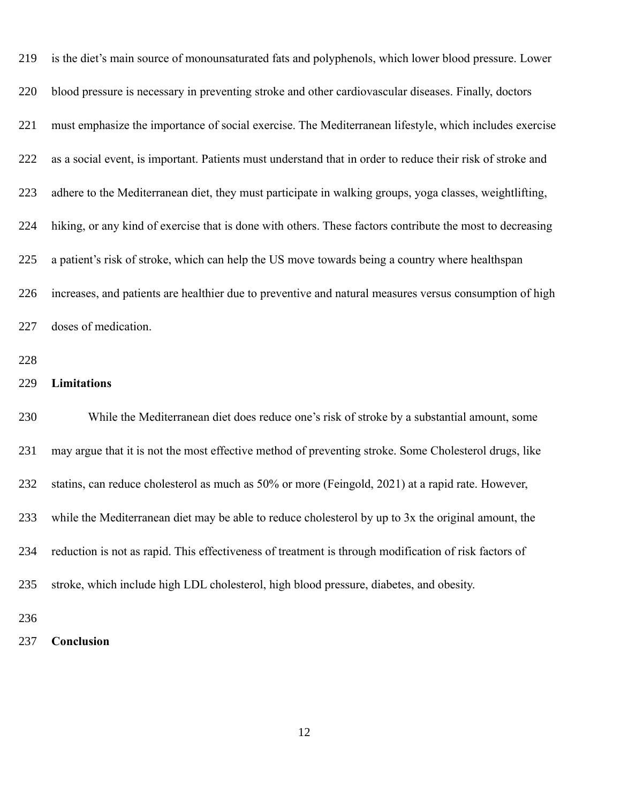| 219 | is the diet's main source of monounsaturated fats and polyphenols, which lower blood pressure. Lower       |
|-----|------------------------------------------------------------------------------------------------------------|
| 220 | blood pressure is necessary in preventing stroke and other cardiovascular diseases. Finally, doctors       |
| 221 | must emphasize the importance of social exercise. The Mediterranean lifestyle, which includes exercise     |
| 222 | as a social event, is important. Patients must understand that in order to reduce their risk of stroke and |
| 223 | adhere to the Mediterranean diet, they must participate in walking groups, yoga classes, weightlifting,    |
| 224 | hiking, or any kind of exercise that is done with others. These factors contribute the most to decreasing  |
| 225 | a patient's risk of stroke, which can help the US move towards being a country where healthspan            |
| 226 | increases, and patients are healthier due to preventive and natural measures versus consumption of high    |
| 227 | doses of medication.                                                                                       |
| 228 |                                                                                                            |
| 229 | Limitations                                                                                                |
| 230 | While the Mediterranean diet does reduce one's risk of stroke by a substantial amount, some                |
| 231 | may argue that it is not the most effective method of preventing stroke. Some Cholesterol drugs, like      |
| 232 | statins, can reduce cholesterol as much as 50% or more (Feingold, 2021) at a rapid rate. However,          |
| 233 | while the Mediterranean diet may be able to reduce cholesterol by up to 3x the original amount, the        |
| 234 | reduction is not as rapid. This effectiveness of treatment is through modification of risk factors of      |
| 235 | stroke, which include high LDL cholesterol, high blood pressure, diabetes, and obesity.                    |
| 236 |                                                                                                            |
| 237 | Conclusion                                                                                                 |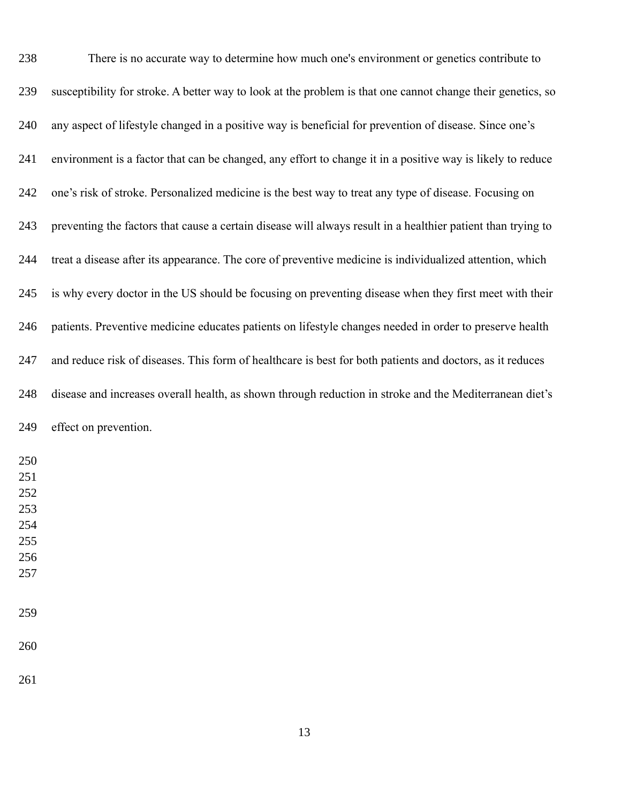| 238                      | There is no accurate way to determine how much one's environment or genetics contribute to                   |
|--------------------------|--------------------------------------------------------------------------------------------------------------|
| 239                      | susceptibility for stroke. A better way to look at the problem is that one cannot change their genetics, so  |
| 240                      | any aspect of lifestyle changed in a positive way is beneficial for prevention of disease. Since one's       |
| 241                      | environment is a factor that can be changed, any effort to change it in a positive way is likely to reduce   |
| 242                      | one's risk of stroke. Personalized medicine is the best way to treat any type of disease. Focusing on        |
| 243                      | preventing the factors that cause a certain disease will always result in a healthier patient than trying to |
| 244                      | treat a disease after its appearance. The core of preventive medicine is individualized attention, which     |
| 245                      | is why every doctor in the US should be focusing on preventing disease when they first meet with their       |
| 246                      | patients. Preventive medicine educates patients on lifestyle changes needed in order to preserve health      |
| 247                      | and reduce risk of diseases. This form of healthcare is best for both patients and doctors, as it reduces    |
| 248                      | disease and increases overall health, as shown through reduction in stroke and the Mediterranean diet's      |
| 249                      | effect on prevention.                                                                                        |
| 250<br>251<br>252<br>253 |                                                                                                              |
| 254                      |                                                                                                              |
| 255                      |                                                                                                              |
| 256                      |                                                                                                              |
| 257                      |                                                                                                              |
| 259                      |                                                                                                              |
| 260                      |                                                                                                              |
| 261                      |                                                                                                              |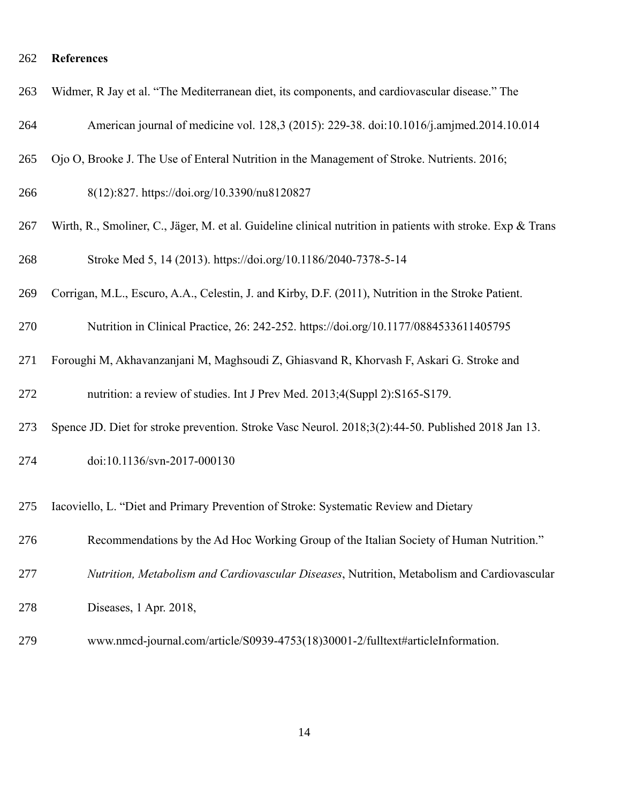#### **References** 262

|  |  |  | 263 Widmer, R Jay et al. "The Mediterranean diet, its components, and cardiovascular disease." The |  |  |  |  |  |
|--|--|--|----------------------------------------------------------------------------------------------------|--|--|--|--|--|
|--|--|--|----------------------------------------------------------------------------------------------------|--|--|--|--|--|

- American journal of medicine vol. 128,3 (2015): 229-38. doi:10.1016/j.amjmed.2014.10.014 264
- Ojo O, Brooke J. The Use of Enteral Nutrition in the Management of Stroke. Nutrients. 2016; 265
- 8(12):827. https://doi.org/10.3390/nu8120827 266
- Wirth, R., Smoliner, C., Jäger, M. et al. Guideline clinical nutrition in patients with stroke. Exp & Trans Stroke Med 5, 14 (2013). https://doi.org/10.1186/2040-7378-5-14 267 268
- Corrigan, M.L., Escuro, A.A., Celestin, J. and Kirby, D.F. (2011), Nutrition in the Stroke Patient. 269
- Nutrition in Clinical Practice, 26: 242-252. https://doi.org/10.1177/0884533611405795 270
- Foroughi M, Akhavanzanjani M, Maghsoudi Z, Ghiasvand R, Khorvash F, Askari G. Stroke and 271
- nutrition: a review of studies. Int J Prev Med. 2013;4(Suppl 2):S165-S179. 272
- Spence JD. Diet for stroke prevention. Stroke Vasc Neurol. 2018;3(2):44-50. Published 2018 Jan 13. 273
- doi:10.1136/svn-2017-000130 274
- Iacoviello, L. "Diet and Primary Prevention of Stroke: Systematic Review and Dietary 275
- Recommendations by the Ad Hoc Working Group of the Italian Society of Human Nutrition." 276
- *Nutrition, Metabolism and Cardiovascular Diseases*, Nutrition, Metabolism and Cardiovascular 277
- Diseases, 1 Apr. 2018, 278
- www.nmcd-journal.com/article/S0939-4753(18)30001-2/fulltext#articleInformation. 279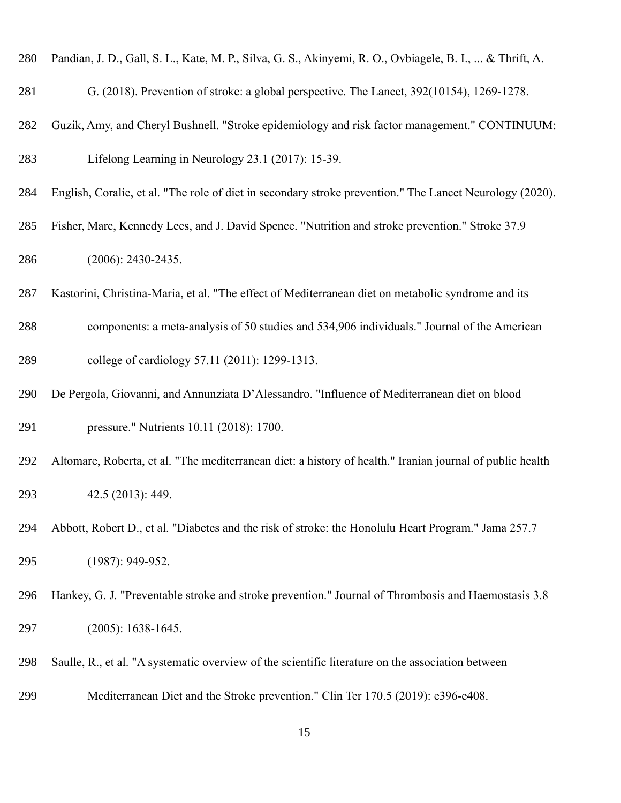- Pandian, J. D., Gall, S. L., Kate, M. P., Silva, G. S., Akinyemi, R. O., Ovbiagele, B. I., ... & Thrift, A. 280
- G. (2018). Prevention of stroke: a global perspective. The Lancet, 392(10154), 1269-1278. 281
- Guzik, Amy, and Cheryl Bushnell. "Stroke epidemiology and risk factor management." CONTINUUM: 282
- Lifelong Learning in Neurology 23.1 (2017): 15-39. 283
- English, Coralie, et al. "The role of diet in secondary stroke prevention." The Lancet Neurology (2020). 284
- Fisher, Marc, Kennedy Lees, and J. David Spence. "Nutrition and stroke prevention." Stroke 37.9 (2006): 2430-2435. 285 286
- Kastorini, Christina-Maria, et al. "The effect of Mediterranean diet on metabolic syndrome and its 287
- components: a meta-analysis of 50 studies and 534,906 individuals." Journal of the American college of cardiology 57.11 (2011): 1299-1313. 288 289
- De Pergola, Giovanni, and Annunziata D'Alessandro. "Influence of Mediterranean diet on blood pressure." Nutrients 10.11 (2018): 1700. 290 291
- Altomare, Roberta, et al. "The mediterranean diet: a history of health." Iranian journal of public health 42.5 (2013): 449. 292 293
- Abbott, Robert D., et al. "Diabetes and the risk of stroke: the Honolulu Heart Program." Jama 257.7 (1987): 949-952. 294 295
- Hankey, G. J. "Preventable stroke and stroke prevention." Journal of Thrombosis and Haemostasis 3.8 (2005): 1638-1645. 296 297
- Saulle, R., et al. "A systematic overview of the scientific literature on the association between 298
- Mediterranean Diet and the Stroke prevention." Clin Ter 170.5 (2019): e396-e408. 299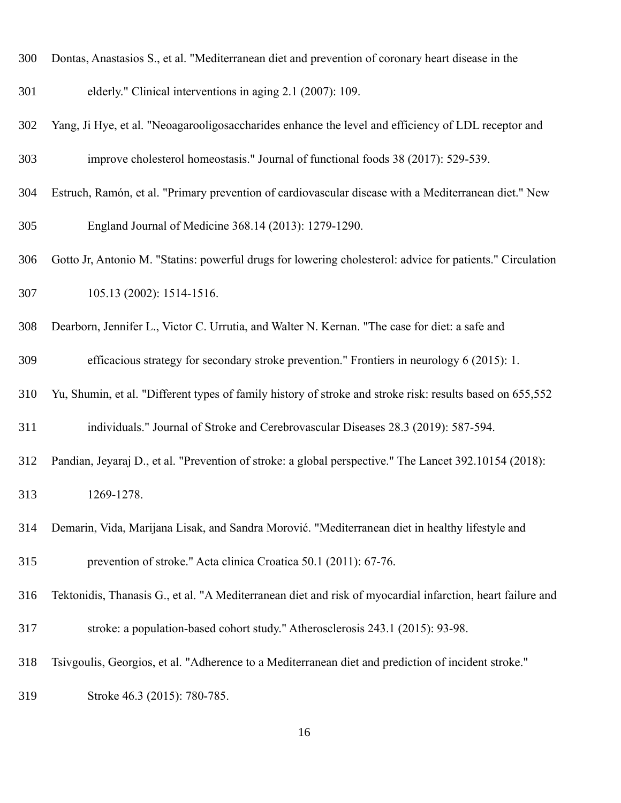- Dontas, Anastasios S., et al. "Mediterranean diet and prevention of coronary heart disease in the 300
- elderly." Clinical interventions in aging 2.1 (2007): 109. 301
- Yang, Ji Hye, et al. "Neoagarooligosaccharides enhance the level and efficiency of LDL receptor and improve cholesterol homeostasis." Journal of functional foods 38 (2017): 529-539. 302 303
- Estruch, Ramón, et al. "Primary prevention of cardiovascular disease with a Mediterranean diet." New England Journal of Medicine 368.14 (2013): 1279-1290. 304 305
- Gotto Jr, Antonio M. "Statins: powerful drugs for lowering cholesterol: advice for patients." Circulation 105.13 (2002): 1514-1516. 306 307
- Dearborn, Jennifer L., Victor C. Urrutia, and Walter N. Kernan. "The case for diet: a safe and 308
- efficacious strategy for secondary stroke prevention." Frontiers in neurology 6 (2015): 1. 309
- Yu, Shumin, et al. "Different types of family history of stroke and stroke risk: results based on 655,552 310
- individuals." Journal of Stroke and Cerebrovascular Diseases 28.3 (2019): 587-594. 311
- Pandian, Jeyaraj D., et al. "Prevention of stroke: a global perspective." The Lancet 392.10154 (2018): 1269-1278. 312 313
- Demarin, Vida, Marijana Lisak, and Sandra Morović. "Mediterranean diet in healthy lifestyle and prevention of stroke." Acta clinica Croatica 50.1 (2011): 67-76. 314 315
- Tektonidis, Thanasis G., et al. "A Mediterranean diet and risk of myocardial infarction, heart failure and 316
- stroke: a population-based cohort study." Atherosclerosis 243.1 (2015): 93-98. 317
- Tsivgoulis, Georgios, et al. "Adherence to a Mediterranean diet and prediction of incident stroke." 318
- Stroke 46.3 (2015): 780-785. 319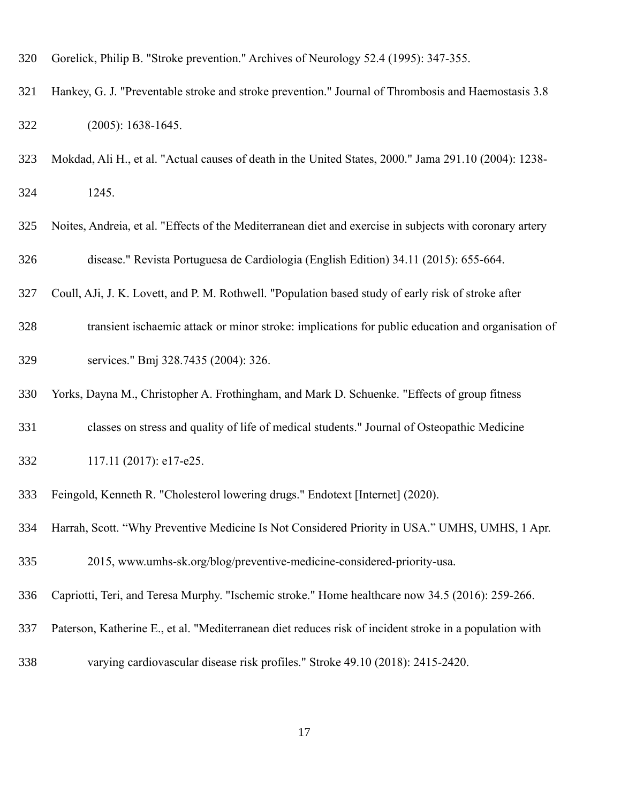- Gorelick, Philip B. "Stroke prevention." Archives of Neurology 52.4 (1995): 347-355. 320
- Hankey, G. J. "Preventable stroke and stroke prevention." Journal of Thrombosis and Haemostasis 3.8 (2005): 1638-1645. 321 322
- Mokdad, Ali H., et al. "Actual causes of death in the United States, 2000." Jama 291.10 (2004): 1238- 1245. 323 324
- Noites, Andreia, et al. "Effects of the Mediterranean diet and exercise in subjects with coronary artery disease." Revista Portuguesa de Cardiologia (English Edition) 34.11 (2015): 655-664. 325 326
- Coull, AJi, J. K. Lovett, and P. M. Rothwell. "Population based study of early risk of stroke after 327
- transient ischaemic attack or minor stroke: implications for public education and organisation of services." Bmj 328.7435 (2004): 326. 328 329
- Yorks, Dayna M., Christopher A. Frothingham, and Mark D. Schuenke. "Effects of group fitness 330
- classes on stress and quality of life of medical students." Journal of Osteopathic Medicine 331
- 117.11 (2017): e17-e25. 332
- Feingold, Kenneth R. "Cholesterol lowering drugs." Endotext [Internet] (2020). 333
- Harrah, Scott. "Why Preventive Medicine Is Not Considered Priority in USA." UMHS, UMHS, 1 Apr. 334

2015, www.umhs-sk.org/blog/preventive-medicine-considered-priority-usa. 335

- Capriotti, Teri, and Teresa Murphy. "Ischemic stroke." Home healthcare now 34.5 (2016): 259-266. 336
- Paterson, Katherine E., et al. "Mediterranean diet reduces risk of incident stroke in a population with 337
- varying cardiovascular disease risk profiles." Stroke 49.10 (2018): 2415-2420. 338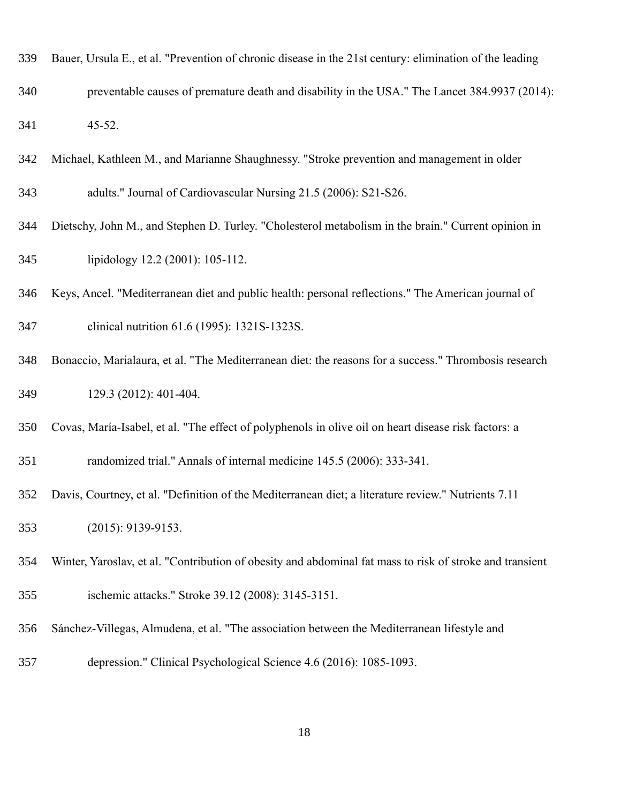- Bauer, Ursula E., et al. "Prevention of chronic disease in the 21st century: elimination of the leading 339
- preventable causes of premature death and disability in the USA." The Lancet 384.9937 (2014): 45-52. 340 341
- Michael, Kathleen M., and Marianne Shaughnessy. "Stroke prevention and management in older 342
- adults." Journal of Cardiovascular Nursing 21.5 (2006): S21-S26. 343
- Dietschy, John M., and Stephen D. Turley. "Cholesterol metabolism in the brain." Current opinion in lipidology 12.2 (2001): 105-112. 344 345
- Keys, Ancel. "Mediterranean diet and public health: personal reflections." The American journal of 346
- clinical nutrition 61.6 (1995): 1321S-1323S. 347
- Bonaccio, Marialaura, et al. "The Mediterranean diet: the reasons for a success." Thrombosis research 129.3 (2012): 401-404. 348 349
- Covas, María-Isabel, et al. "The effect of polyphenols in olive oil on heart disease risk factors: a 350
- randomized trial." Annals of internal medicine 145.5 (2006): 333-341. 351
- Davis, Courtney, et al. "Definition of the Mediterranean diet; a literature review." Nutrients 7.11 352
- (2015): 9139-9153. 353
- Winter, Yaroslav, et al. "Contribution of obesity and abdominal fat mass to risk of stroke and transient 354
- ischemic attacks." Stroke 39.12 (2008): 3145-3151. 355
- Sánchez-Villegas, Almudena, et al. "The association between the Mediterranean lifestyle and 356
- depression." Clinical Psychological Science 4.6 (2016): 1085-1093. 357